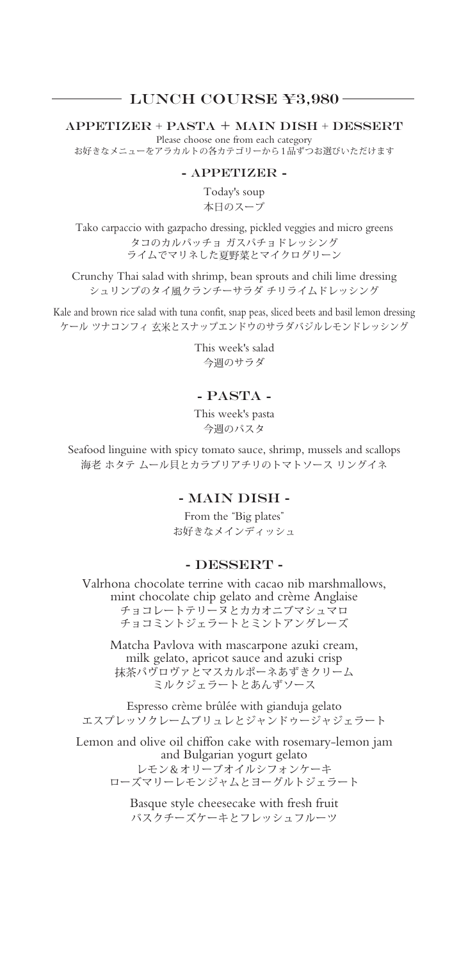### LUNCH COURSE ¥3,980

APPETIZER + PASTA + MAIN DISH + DESSERT

Please choose one from each category お好きなメニューをアラカルトの各カテゴリーから1品ずつお選びいただけます

#### - APPETIZER -

Today's soup 本日のスープ

Tako carpaccio with gazpacho dressing, pickled veggies and micro greens タコのカルパッチョ ガスパチョドレッシング ライムでマリネした夏野菜とマイクログリーン

Crunchy Thai salad with shrimp, bean sprouts and chili lime dressing シュリンプのタイ風クランチーサラダ チリライムドレッシング

Kale and brown rice salad with tuna confit, snap peas, sliced beets and basil lemon dressing ケール ツナコンフィ 玄米とスナップエンドウのサラダバジルレモンドレッシング

> This week's salad 今週のサラダ

## - PASTA -

This week's pasta 今週のパスタ

Seafood linguine with spicy tomato sauce, shrimp, mussels and scallops 海老 ホタテ ムール貝とカラブリアチリのトマトソース リングイネ

### - MAIN DISH -

From the "Big plates" お好きなメインディッシュ

#### - DESSERT -

Valrhona chocolate terrine with cacao nib marshmallows, mint chocolate chip gelato and crème Anglaise チョコレートテリーヌとカカオニブマシュマロ チョコミントジェラートとミントアングレーズ

Matcha Pavlova with mascarpone azuki cream, milk gelato, apricot sauce and azuki crisp 抹茶パヴロヴァとマスカルポーネあずきクリーム ミルクジェラートとあんずソース

Espresso crème brûlée with gianduja gelato エスプレッソクレームブリュレとジャンドゥージャジェラート

Lemon and olive oil chiffon cake with rosemary-lemon jam and Bulgarian yogurt gelato レモン&オリーブオイルシフォンケーキ ローズマリーレモンジャムとヨーグルトジェラート

> Basque style cheesecake with fresh fruit バスクチーズケーキとフレッシュフルーツ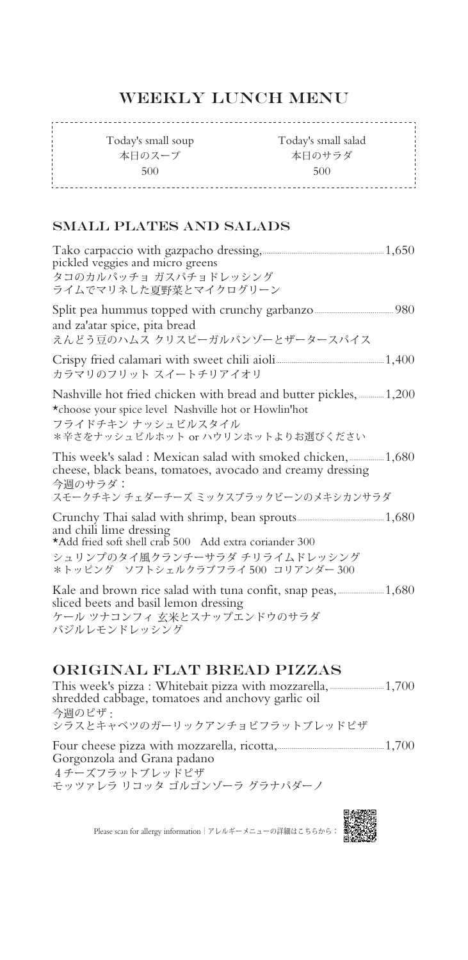# WEEKLY LUNCH MENU

Today's small salad Today's small soup 本日のサラダ 本日のスープ 500 500 

## SMALL PLATES AND SALADS

| pickled veggies and micro greens<br>タコのカルパッチョ ガスパチョドレッシング<br>ライムでマリネした夏野菜とマイクログリーン                                                                                                   |  |
|--------------------------------------------------------------------------------------------------------------------------------------------------------------------------------------|--|
| and za'atar spice, pita bread<br>えんどう豆のハムス クリスピーガルバンゾーとザータースパイス                                                                                                                      |  |
| カラマリのフリット スイートチリアイオリ                                                                                                                                                                 |  |
| Nashville hot fried chicken with bread and butter pickles,  1,200<br>*choose your spice level Nashville hot or Howlin'hot<br>フライドチキン ナッシュビルスタイル<br>*辛さをナッシュビルホット or ハウリンホットよりお選びください |  |
| cheese, black beans, tomatoes, avocado and creamy dressing<br>今调のサラダ:<br>スモークチキン チェダーチーズ ミックスブラックビーンのメキシカンサラダ                                                                        |  |
| and chili lime dressing<br>*Add fried soft shell crab 500 Add extra coriander 300<br>シュリンプのタイ風クランチーサラダ チリライムドレッシング<br>*トッピング ソフトシェルクラブフライ 500 コリアンダー 300                             |  |
| sliced beets and basil lemon dressing<br>ケール ツナコンフィ 玄米とスナップエンドウのサラダ<br>バジルレモンドレッシング                                                                                                  |  |

## ORIGINAL FLAT BREAD PIZZAS

This week's pizza : Whitebait pizza with mozzarella,............................1,700 shredded cabbage, tomatoes and anchovy garlic oil 今週のピザ : シラスとキャベツのガーリックアンチョビフラットブレッドピザ

Four cheese pizza with mozzarella, ricotta,.......................................................1,700 Gorgonzola and Grana padano 4チーズフラットブレッドピザ モッツァレラ リコッタ ゴルゴンゾーラ グラナパダーノ

Please scan for allergy information|アレルギーメニューの詳細はこちらから: